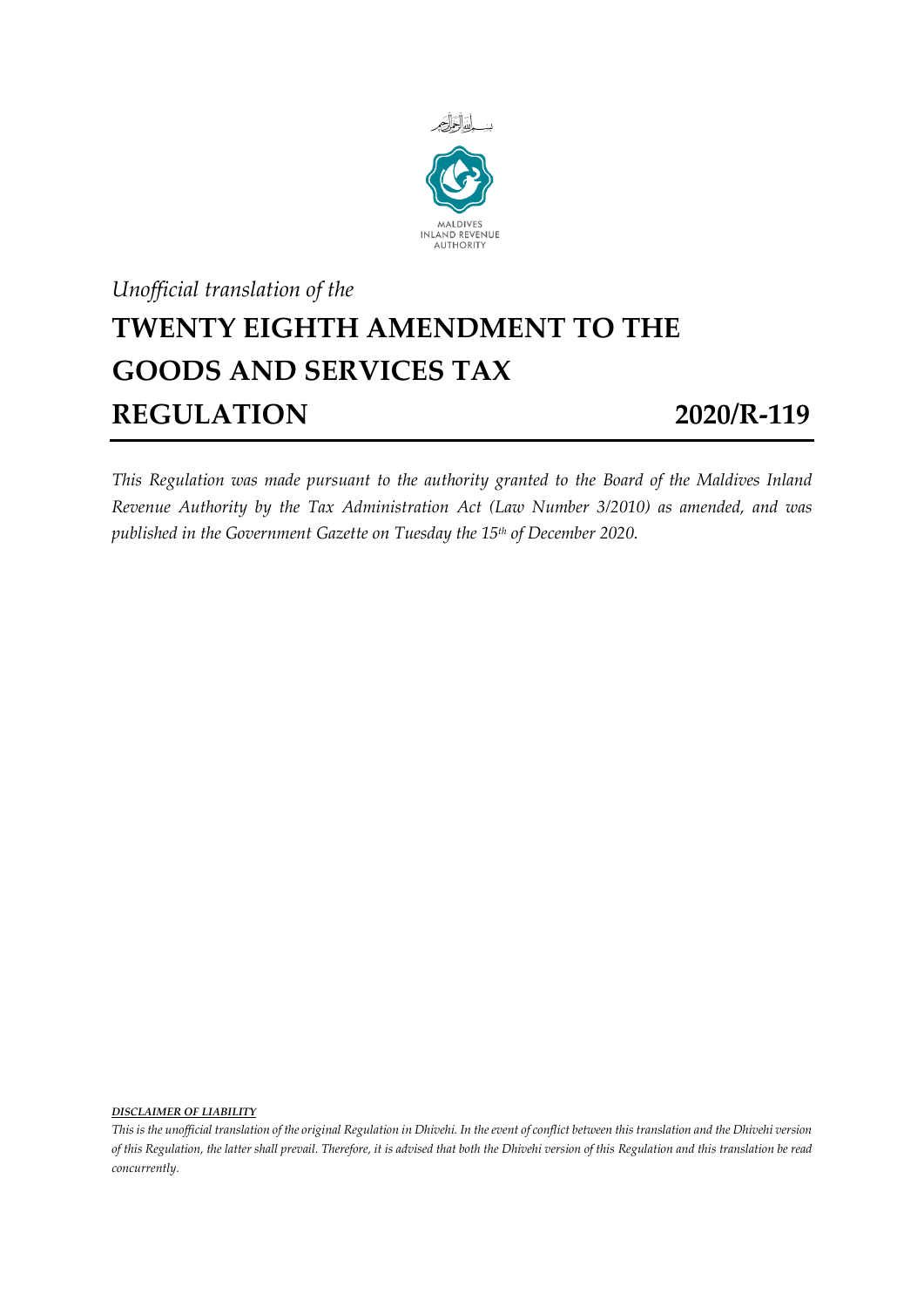

## *Unofficial translation of the* **TWENTY EIGHTH AMENDMENT TO THE GOODS AND SERVICES TAX REGULATION 2020/R-119**

*This Regulation was made pursuant to the authority granted to the Board of the Maldives Inland Revenue Authority by the Tax Administration Act (Law Number 3/2010) as amended, and was published in the Government Gazette on Tuesday the 15th of December 2020.*

*DISCLAIMER OF LIABILITY*

*This is the unofficial translation of the original Regulation in Dhivehi. In the event of conflict between this translation and the Dhivehi version of this Regulation, the latter shall prevail. Therefore, it is advised that both the Dhivehi version of this Regulation and this translation be read concurrently.*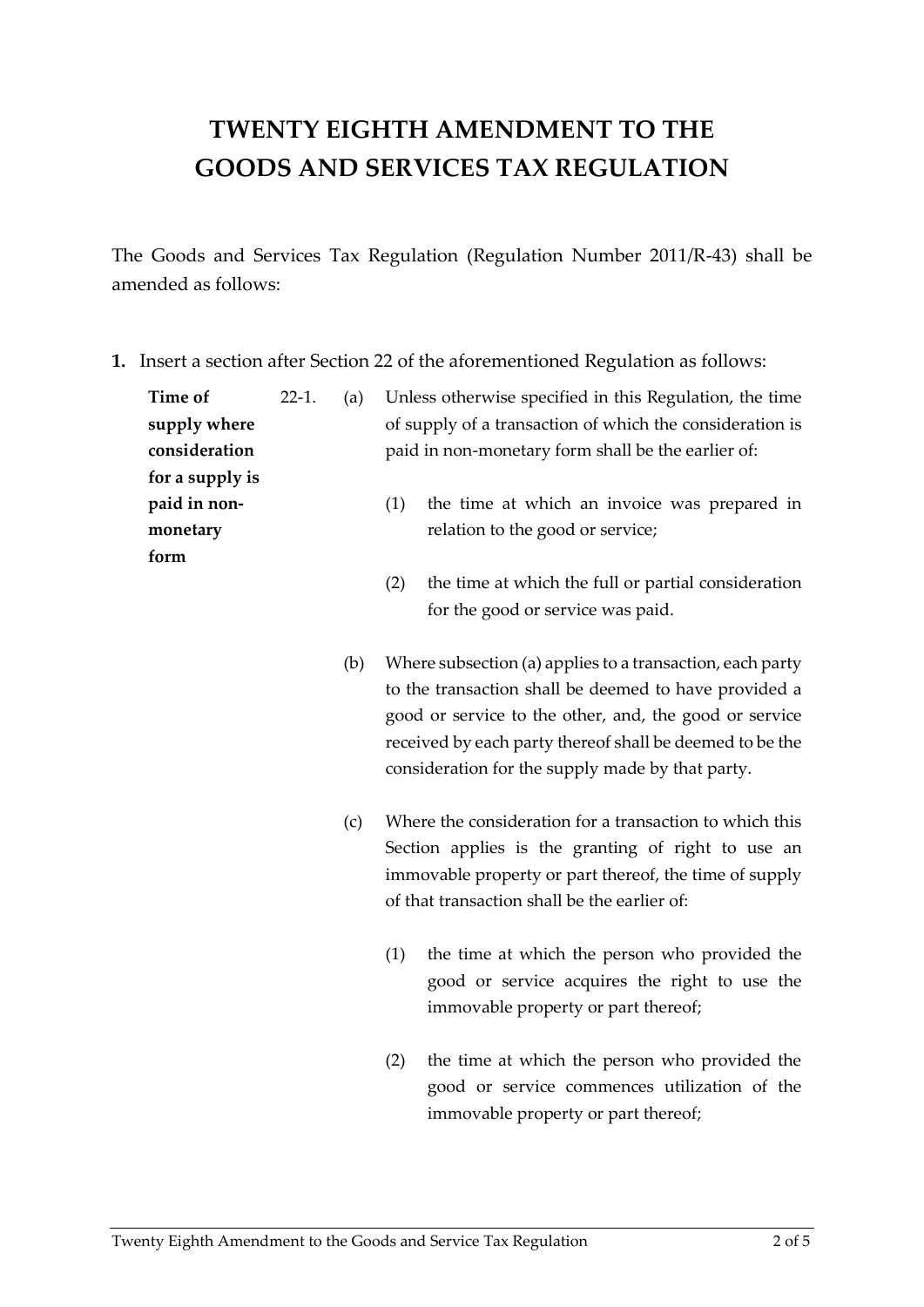## **TWENTY EIGHTH AMENDMENT TO THE GOODS AND SERVICES TAX REGULATION**

The Goods and Services Tax Regulation (Regulation Number 2011/R-43) shall be amended as follows:

**1.** Insert a section after Section 22 of the aforementioned Regulation as follows:

| Time of<br>supply where<br>consideration<br>for a supply is | $22-1.$ | (a) | Unless otherwise specified in this Regulation, the time<br>of supply of a transaction of which the consideration is<br>paid in non-monetary form shall be the earlier of:<br>(1)<br>the time at which an invoice was prepared in<br>relation to the good or service;                         |  |  |
|-------------------------------------------------------------|---------|-----|----------------------------------------------------------------------------------------------------------------------------------------------------------------------------------------------------------------------------------------------------------------------------------------------|--|--|
| paid in non-<br>monetary<br>form                            |         |     |                                                                                                                                                                                                                                                                                              |  |  |
|                                                             |         |     | (2)<br>the time at which the full or partial consideration<br>for the good or service was paid.                                                                                                                                                                                              |  |  |
|                                                             |         | (b) | Where subsection (a) applies to a transaction, each party<br>to the transaction shall be deemed to have provided a<br>good or service to the other, and, the good or service<br>received by each party thereof shall be deemed to be the<br>consideration for the supply made by that party. |  |  |
|                                                             |         | (c) | Where the consideration for a transaction to which this<br>Section applies is the granting of right to use an<br>immovable property or part thereof, the time of supply<br>of that transaction shall be the earlier of:                                                                      |  |  |
|                                                             |         |     | the time at which the person who provided the<br>(1)<br>good or service acquires the right to use the<br>immovable property or part thereof;                                                                                                                                                 |  |  |

(2) the time at which the person who provided the good or service commences utilization of the immovable property or part thereof;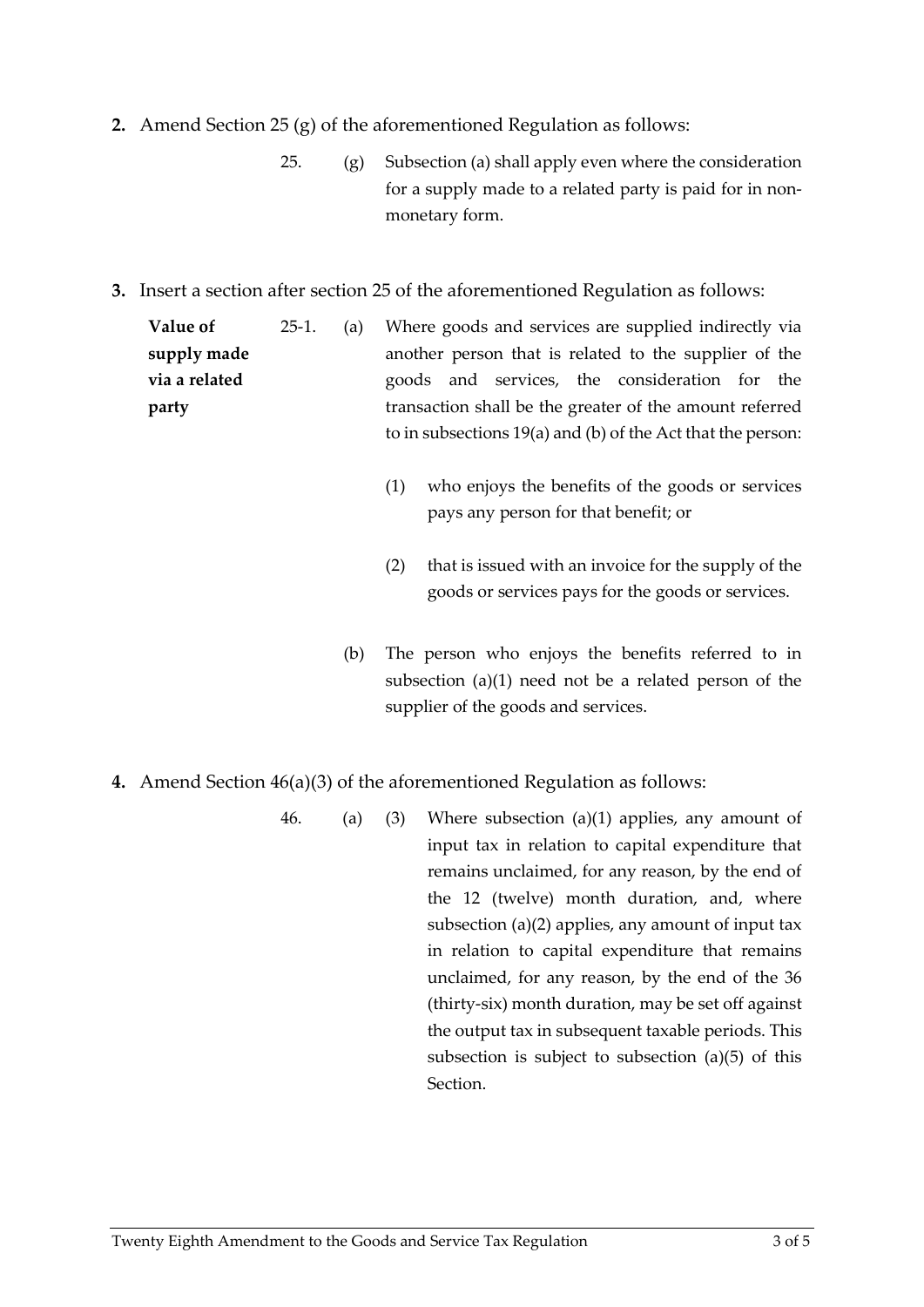- **2.** Amend Section 25 (g) of the aforementioned Regulation as follows:
	- 25.  $(g)$  Subsection (a) shall apply even where the consideration for a supply made to a related party is paid for in nonmonetary form.
- **3.** Insert a section after section 25 of the aforementioned Regulation as follows:

**Value of supply made via a related party** 25-1. (a) Where goods and services are supplied indirectly via another person that is related to the supplier of the goods and services, the consideration for the transaction shall be the greater of the amount referred to in subsections 19(a) and (b) of the Act that the person:

- (1) who enjoys the benefits of the goods or services pays any person for that benefit; or
- (2) that is issued with an invoice for the supply of the goods or services pays for the goods or services.
- (b) The person who enjoys the benefits referred to in subsection (a)(1) need not be a related person of the supplier of the goods and services.
- **4.** Amend Section 46(a)(3) of the aforementioned Regulation as follows:
	- 46. (a) (3) Where subsection (a)(1) applies, any amount of input tax in relation to capital expenditure that remains unclaimed, for any reason, by the end of the 12 (twelve) month duration, and, where subsection (a)(2) applies, any amount of input tax in relation to capital expenditure that remains unclaimed, for any reason, by the end of the 36 (thirty-six) month duration, may be set off against the output tax in subsequent taxable periods. This subsection is subject to subsection (a)(5) of this Section.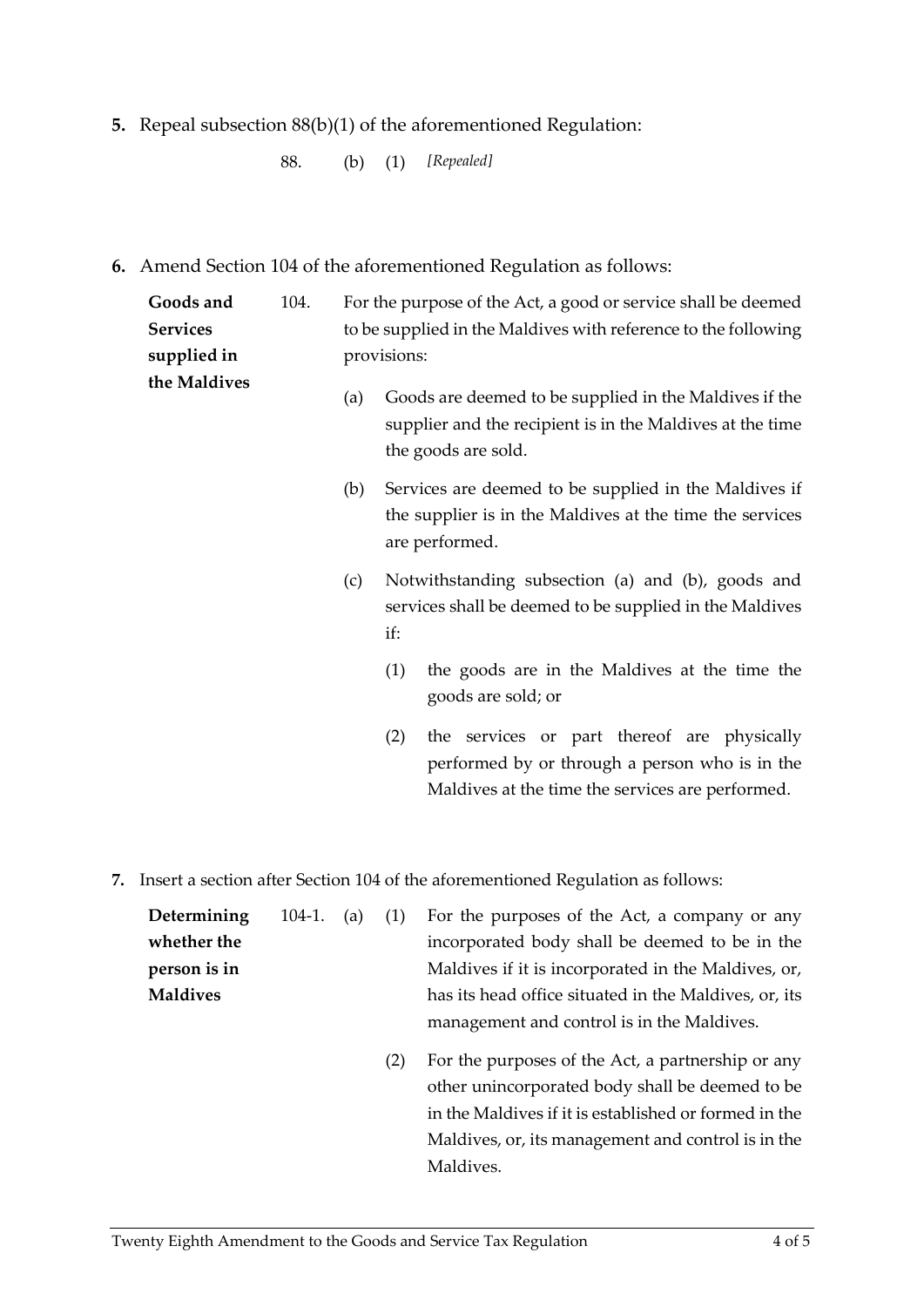**5.** Repeal subsection 88(b)(1) of the aforementioned Regulation:

88. (b) (1) *[Repealed]*

**6.** Amend Section 104 of the aforementioned Regulation as follows:

| Goods and<br><b>Services</b><br>supplied in | 104. |     | For the purpose of the Act, a good or service shall be deemed<br>to be supplied in the Maldives with reference to the following<br>provisions:           |
|---------------------------------------------|------|-----|----------------------------------------------------------------------------------------------------------------------------------------------------------|
| the Maldives                                |      | (a) | Goods are deemed to be supplied in the Maldives if the<br>supplier and the recipient is in the Maldives at the time<br>the goods are sold.               |
|                                             |      | (b) | Services are deemed to be supplied in the Maldives if<br>the supplier is in the Maldives at the time the services<br>are performed.                      |
|                                             |      | (c) | Notwithstanding subsection (a) and (b), goods and<br>services shall be deemed to be supplied in the Maldives<br>if:                                      |
|                                             |      |     | the goods are in the Maldives at the time the<br>(1)<br>goods are sold; or                                                                               |
|                                             |      |     | the services or part thereof are physically<br>(2)<br>performed by or through a person who is in the<br>Maldives at the time the services are performed. |

**7.** Insert a section after Section 104 of the aforementioned Regulation as follows:

| Determining     |  | 104-1. (a) (1) For the purposes of the Act, a company or any |
|-----------------|--|--------------------------------------------------------------|
| whether the     |  | incorporated body shall be deemed to be in the               |
| person is in    |  | Maldives if it is incorporated in the Maldives, or,          |
| <b>Maldives</b> |  | has its head office situated in the Maldives, or, its        |
|                 |  | management and control is in the Maldives.                   |

(2) For the purposes of the Act, a partnership or any other unincorporated body shall be deemed to be in the Maldives if it is established or formed in the Maldives, or, its management and control is in the Maldives.